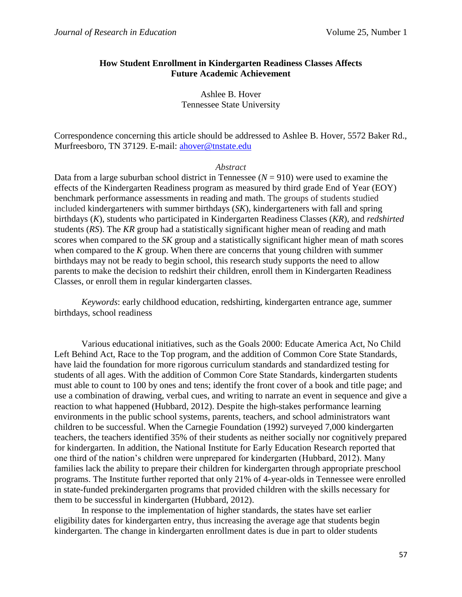## **How Student Enrollment in Kindergarten Readiness Classes Affects Future Academic Achievement**

Ashlee B. Hover Tennessee State University

Correspondence concerning this article should be addressed to Ashlee B. Hover, 5572 Baker Rd., Murfreesboro, TN 37129. E-mail: [ahover@tnstate.edu](mailto:ahover@tnstate.edu)

#### *Abstract*

Data from a large suburban school district in Tennessee  $(N = 910)$  were used to examine the effects of the Kindergarten Readiness program as measured by third grade End of Year (EOY) benchmark performance assessments in reading and math. The groups of students studied included kindergarteners with summer birthdays (*SK*), kindergarteners with fall and spring birthdays (*K*), students who participated in Kindergarten Readiness Classes (*KR*), and *redshirted* students (*RS*). The *KR* group had a statistically significant higher mean of reading and math scores when compared to the *SK* group and a statistically significant higher mean of math scores when compared to the *K* group. When there are concerns that young children with summer birthdays may not be ready to begin school, this research study supports the need to allow parents to make the decision to redshirt their children, enroll them in Kindergarten Readiness Classes, or enroll them in regular kindergarten classes.

*Keywords*: early childhood education, redshirting, kindergarten entrance age, summer birthdays, school readiness

Various educational initiatives, such as the Goals 2000: Educate America Act, No Child Left Behind Act, Race to the Top program, and the addition of Common Core State Standards, have laid the foundation for more rigorous curriculum standards and standardized testing for students of all ages. With the addition of Common Core State Standards, kindergarten students must able to count to 100 by ones and tens; identify the front cover of a book and title page; and use a combination of drawing, verbal cues, and writing to narrate an event in sequence and give a reaction to what happened (Hubbard, 2012). Despite the high-stakes performance learning environments in the public school systems, parents, teachers, and school administrators want children to be successful. When the Carnegie Foundation (1992) surveyed 7,000 kindergarten teachers, the teachers identified 35% of their students as neither socially nor cognitively prepared for kindergarten. In addition, the National Institute for Early Education Research reported that one third of the nation's children were unprepared for kindergarten (Hubbard, 2012). Many families lack the ability to prepare their children for kindergarten through appropriate preschool programs. The Institute further reported that only 21% of 4-year-olds in Tennessee were enrolled in state-funded prekindergarten programs that provided children with the skills necessary for them to be successful in kindergarten (Hubbard, 2012).

In response to the implementation of higher standards, the states have set earlier eligibility dates for kindergarten entry, thus increasing the average age that students begin kindergarten. The change in kindergarten enrollment dates is due in part to older students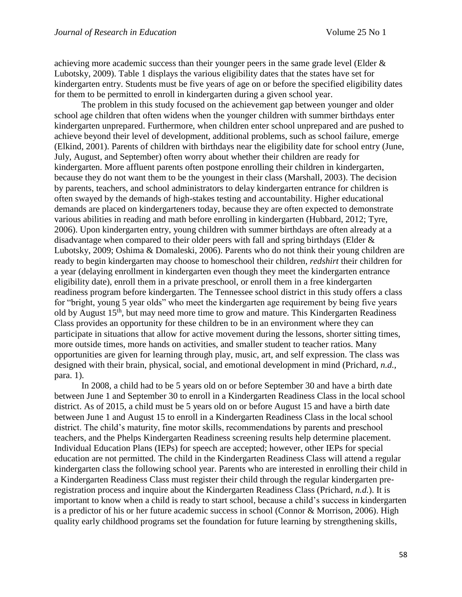achieving more academic success than their younger peers in the same grade level (Elder & Lubotsky, 2009). Table 1 displays the various eligibility dates that the states have set for kindergarten entry. Students must be five years of age on or before the specified eligibility dates for them to be permitted to enroll in kindergarten during a given school year.

The problem in this study focused on the achievement gap between younger and older school age children that often widens when the younger children with summer birthdays enter kindergarten unprepared. Furthermore, when children enter school unprepared and are pushed to achieve beyond their level of development, additional problems, such as school failure, emerge (Elkind, 2001). Parents of children with birthdays near the eligibility date for school entry (June, July, August, and September) often worry about whether their children are ready for kindergarten. More affluent parents often postpone enrolling their children in kindergarten, because they do not want them to be the youngest in their class (Marshall, 2003). The decision by parents, teachers, and school administrators to delay kindergarten entrance for children is often swayed by the demands of high-stakes testing and accountability. Higher educational demands are placed on kindergarteners today, because they are often expected to demonstrate various abilities in reading and math before enrolling in kindergarten (Hubbard, 2012; Tyre, 2006). Upon kindergarten entry, young children with summer birthdays are often already at a disadvantage when compared to their older peers with fall and spring birthdays (Elder & Lubotsky, 2009; Oshima & Domaleski, 2006). Parents who do not think their young children are ready to begin kindergarten may choose to homeschool their children, *redshirt* their children for a year (delaying enrollment in kindergarten even though they meet the kindergarten entrance eligibility date), enroll them in a private preschool, or enroll them in a free kindergarten readiness program before kindergarten. The Tennessee school district in this study offers a class for "bright, young 5 year olds" who meet the kindergarten age requirement by being five years old by August 15<sup>th</sup>, but may need more time to grow and mature. This Kindergarten Readiness Class provides an opportunity for these children to be in an environment where they can participate in situations that allow for active movement during the lessons, shorter sitting times, more outside times, more hands on activities, and smaller student to teacher ratios. Many opportunities are given for learning through play, music, art, and self expression. The class was designed with their brain, physical, social, and emotional development in mind (Prichard, *n.d.,*  para. 1).

In 2008, a child had to be 5 years old on or before September 30 and have a birth date between June 1 and September 30 to enroll in a Kindergarten Readiness Class in the local school district. As of 2015, a child must be 5 years old on or before August 15 and have a birth date between June 1 and August 15 to enroll in a Kindergarten Readiness Class in the local school district. The child's maturity, fine motor skills, recommendations by parents and preschool teachers, and the Phelps Kindergarten Readiness screening results help determine placement. Individual Education Plans (IEPs) for speech are accepted; however, other IEPs for special education are not permitted. The child in the Kindergarten Readiness Class will attend a regular kindergarten class the following school year. Parents who are interested in enrolling their child in a Kindergarten Readiness Class must register their child through the regular kindergarten pre‐ registration process and inquire about the Kindergarten Readiness Class (Prichard, *n.d.*). It is important to know when a child is ready to start school, because a child's success in kindergarten is a predictor of his or her future academic success in school (Connor & Morrison, 2006). High quality early childhood programs set the foundation for future learning by strengthening skills,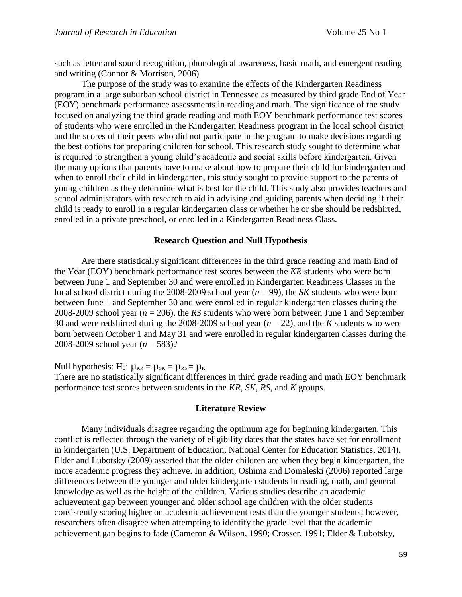such as letter and sound recognition, phonological awareness, basic math, and emergent reading and writing (Connor & Morrison, 2006).

The purpose of the study was to examine the effects of the Kindergarten Readiness program in a large suburban school district in Tennessee as measured by third grade End of Year (EOY) benchmark performance assessments in reading and math. The significance of the study focused on analyzing the third grade reading and math EOY benchmark performance test scores of students who were enrolled in the Kindergarten Readiness program in the local school district and the scores of their peers who did not participate in the program to make decisions regarding the best options for preparing children for school. This research study sought to determine what is required to strengthen a young child's academic and social skills before kindergarten. Given the many options that parents have to make about how to prepare their child for kindergarten and when to enroll their child in kindergarten, this study sought to provide support to the parents of young children as they determine what is best for the child. This study also provides teachers and school administrators with research to aid in advising and guiding parents when deciding if their child is ready to enroll in a regular kindergarten class or whether he or she should be redshirted, enrolled in a private preschool, or enrolled in a Kindergarten Readiness Class.

#### **Research Question and Null Hypothesis**

Are there statistically significant differences in the third grade reading and math End of the Year (EOY) benchmark performance test scores between the *KR* students who were born between June 1 and September 30 and were enrolled in Kindergarten Readiness Classes in the local school district during the 2008-2009 school year (*n* = 99), the *SK* students who were born between June 1 and September 30 and were enrolled in regular kindergarten classes during the 2008-2009 school year (*n* = 206), the *RS* students who were born between June 1 and September 30 and were redshirted during the 2008-2009 school year (*n* = 22), and the *K* students who were born between October 1 and May 31 and were enrolled in regular kindergarten classes during the 2008-2009 school year (*n* = 583)?

Null hypothesis: H<sub>0</sub>:  $\mu_{KR} = \mu_{SK} = \mu_{RS} = \mu_K$ There are no statistically significant differences in third grade reading and math EOY benchmark performance test scores between students in the *KR*, *SK*, *RS*, and *K* groups.

## **Literature Review**

Many individuals disagree regarding the optimum age for beginning kindergarten. This conflict is reflected through the variety of eligibility dates that the states have set for enrollment in kindergarten [\(U.S. Department of Education,](http://www.ed.gov/) [National Center for Education Statistics,](http://nces.ed.gov/) 2014). Elder and Lubotsky (2009) asserted that the older children are when they begin kindergarten, the more academic progress they achieve. In addition, Oshima and Domaleski (2006) reported large differences between the younger and older kindergarten students in reading, math, and general knowledge as well as the height of the children. Various studies describe an academic achievement gap between younger and older school age children with the older students consistently scoring higher on academic achievement tests than the younger students; however, researchers often disagree when attempting to identify the grade level that the academic achievement gap begins to fade (Cameron & Wilson, 1990; Crosser, 1991; Elder & Lubotsky,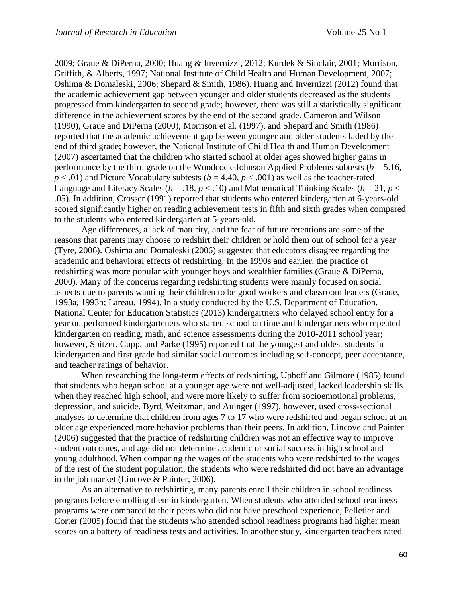2009; Graue & DiPerna, 2000; Huang & Invernizzi, 2012; Kurdek & Sinclair, 2001; Morrison, Griffith, & Alberts, 1997; National Institute of Child Health and Human Development, 2007; Oshima & Domaleski, 2006; Shepard & Smith, 1986). Huang and Invernizzi (2012) found that the academic achievement gap between younger and older students decreased as the students progressed from kindergarten to second grade; however, there was still a statistically significant difference in the achievement scores by the end of the second grade. Cameron and Wilson (1990), Graue and DiPerna (2000), Morrison et al. (1997), and Shepard and Smith (1986) reported that the academic achievement gap between younger and older students faded by the end of third grade; however, the National Institute of Child Health and Human Development (2007) ascertained that the children who started school at older ages showed higher gains in performance by the third grade on the Woodcock-Johnson Applied Problems subtests ( $b = 5.16$ ,  $p < .01$ ) and Picture Vocabulary subtests ( $b = 4.40$ ,  $p < .001$ ) as well as the teacher-rated Language and Literacy Scales ( $b = .18$ ,  $p < .10$ ) and Mathematical Thinking Scales ( $b = 21$ ,  $p <$ .05). In addition, Crosser (1991) reported that students who entered kindergarten at 6-years-old scored significantly higher on reading achievement tests in fifth and sixth grades when compared to the students who entered kindergarten at 5-years-old.

Age differences, a lack of maturity, and the fear of future retentions are some of the reasons that parents may choose to redshirt their children or hold them out of school for a year (Tyre, 2006). Oshima and Domaleski (2006) suggested that educators disagree regarding the academic and behavioral effects of redshirting. In the 1990s and earlier, the practice of redshirting was more popular with younger boys and wealthier families (Graue & DiPerna, 2000). Many of the concerns regarding redshirting students were mainly focused on social aspects due to parents wanting their children to be good workers and classroom leaders (Graue, 1993a, 1993b; Lareau, 1994). In a study conducted by the U.S. Department of Education, National Center for Education Statistics (2013) kindergartners who delayed school entry for a year outperformed kindergarteners who started school on time and kindergartners who repeated kindergarten on reading, math, and science assessments during the 2010-2011 school year; however, Spitzer, Cupp, and Parke (1995) reported that the youngest and oldest students in kindergarten and first grade had similar social outcomes including self-concept, peer acceptance, and teacher ratings of behavior.

When researching the long-term effects of redshirting*,* Uphoff and Gilmore (1985) found that students who began school at a younger age were not well-adjusted, lacked leadership skills when they reached high school, and were more likely to suffer from socioemotional problems, depression, and suicide. Byrd, Weitzman, and Auinger (1997), however, used cross-sectional analyses to determine that children from ages 7 to 17 who were redshirted and began school at an older age experienced more behavior problems than their peers. In addition, Lincove and Painter (2006) suggested that the practice of redshirting children was not an effective way to improve student outcomes, and age did not determine academic or social success in high school and young adulthood. When comparing the wages of the students who were redshirted to the wages of the rest of the student population, the students who were redshirted did not have an advantage in the job market (Lincove & Painter, 2006).

As an alternative to redshirting, many parents enroll their children in school readiness programs before enrolling them in kindergarten. When students who attended school readiness programs were compared to their peers who did not have preschool experience, Pelletier and Corter (2005) found that the students who attended school readiness programs had higher mean scores on a battery of readiness tests and activities. In another study, kindergarten teachers rated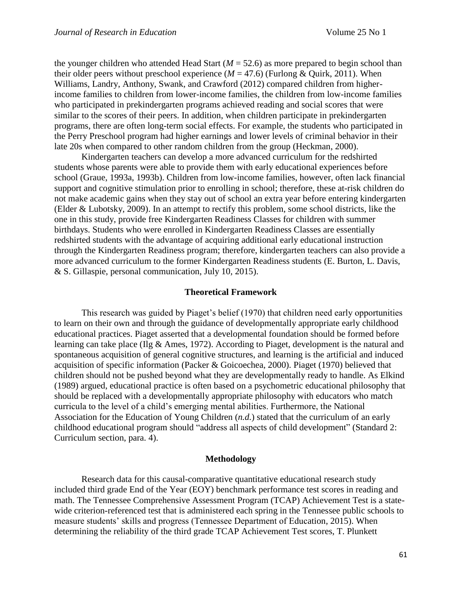the younger children who attended Head Start  $(M = 52.6)$  as more prepared to begin school than their older peers without preschool experience  $(M = 47.6)$  (Furlong & Quirk, 2011). When Williams, Landry, Anthony, Swank, and Crawford (2012) compared children from higherincome families to children from lower-income families, the children from low-income families who participated in prekindergarten programs achieved reading and social scores that were similar to the scores of their peers. In addition, when children participate in prekindergarten programs, there are often long-term social effects. For example, the students who participated in the Perry Preschool program had higher earnings and lower levels of criminal behavior in their late 20s when compared to other random children from the group (Heckman, 2000).

Kindergarten teachers can develop a more advanced curriculum for the redshirted students whose parents were able to provide them with early educational experiences before school (Graue, 1993a, 1993b). Children from low-income families, however, often lack financial support and cognitive stimulation prior to enrolling in school; therefore, these at-risk children do not make academic gains when they stay out of school an extra year before entering kindergarten (Elder & Lubotsky, 2009). In an attempt to rectify this problem, some school districts, like the one in this study, provide free Kindergarten Readiness Classes for children with summer birthdays. Students who were enrolled in Kindergarten Readiness Classes are essentially redshirted students with the advantage of acquiring additional early educational instruction through the Kindergarten Readiness program; therefore, kindergarten teachers can also provide a more advanced curriculum to the former Kindergarten Readiness students (E. Burton, L. Davis, & S. Gillaspie, personal communication, July 10, 2015).

#### **Theoretical Framework**

This research was guided by Piaget's belief (1970) that children need early opportunities to learn on their own and through the guidance of developmentally appropriate early childhood educational practices. Piaget asserted that a developmental foundation should be formed before learning can take place (Ilg & Ames, 1972). According to Piaget, development is the natural and spontaneous acquisition of general cognitive structures, and learning is the artificial and induced acquisition of specific information (Packer & Goicoechea, 2000). Piaget (1970) believed that children should not be pushed beyond what they are developmentally ready to handle. As Elkind (1989) argued, educational practice is often based on a psychometric educational philosophy that should be replaced with a developmentally appropriate philosophy with educators who match curricula to the level of a child's emerging mental abilities. Furthermore, the National Association for the Education of Young Children (*n.d.*) stated that the curriculum of an early childhood educational program should "address all aspects of child development" (Standard 2: Curriculum section, para. 4).

#### **Methodology**

Research data for this causal-comparative quantitative educational research study included third grade End of the Year (EOY) benchmark performance test scores in reading and math. The Tennessee Comprehensive Assessment Program (TCAP) Achievement Test is a statewide criterion-referenced test that is administered each spring in the Tennessee public schools to measure students' skills and progress (Tennessee Department of Education, 2015). When determining the reliability of the third grade TCAP Achievement Test scores, T. Plunkett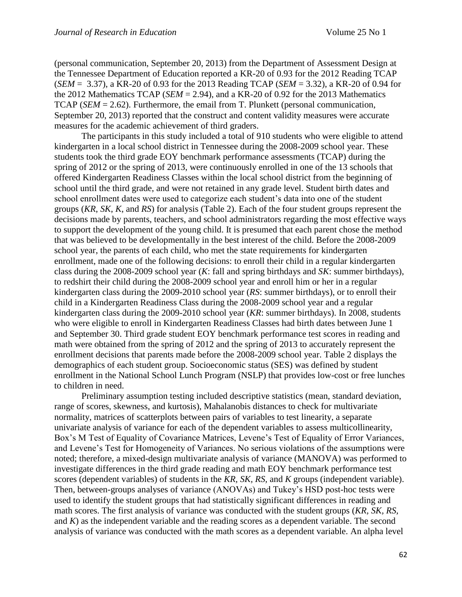(personal communication, September 20, 2013) from the Department of Assessment Design at the Tennessee Department of Education reported a KR-20 of 0.93 for the 2012 Reading TCAP (*SEM* = 3.37), a KR-20 of 0.93 for the 2013 Reading TCAP (*SEM* = 3.32), a KR-20 of 0.94 for the 2012 Mathematics TCAP (*SEM* = 2.94), and a KR-20 of 0.92 for the 2013 Mathematics TCAP (*SEM* = 2.62). Furthermore, the email from T. Plunkett (personal communication, September 20, 2013) reported that the construct and content validity measures were accurate measures for the academic achievement of third graders.

The participants in this study included a total of 910 students who were eligible to attend kindergarten in a local school district in Tennessee during the 2008-2009 school year. These students took the third grade EOY benchmark performance assessments (TCAP) during the spring of 2012 or the spring of 2013, were continuously enrolled in one of the 13 schools that offered Kindergarten Readiness Classes within the local school district from the beginning of school until the third grade, and were not retained in any grade level. Student birth dates and school enrollment dates were used to categorize each student's data into one of the student groups (*KR*, *SK*, *K*, and *RS*) for analysis (Table 2). Each of the four student groups represent the decisions made by parents, teachers, and school administrators regarding the most effective ways to support the development of the young child. It is presumed that each parent chose the method that was believed to be developmentally in the best interest of the child. Before the 2008-2009 school year, the parents of each child, who met the state requirements for kindergarten enrollment, made one of the following decisions: to enroll their child in a regular kindergarten class during the 2008-2009 school year (*K*: fall and spring birthdays and *SK*: summer birthdays), to redshirt their child during the 2008-2009 school year and enroll him or her in a regular kindergarten class during the 2009-2010 school year (*RS*: summer birthdays), or to enroll their child in a Kindergarten Readiness Class during the 2008-2009 school year and a regular kindergarten class during the 2009-2010 school year (*KR*: summer birthdays). In 2008, students who were eligible to enroll in Kindergarten Readiness Classes had birth dates between June 1 and September 30. Third grade student EOY benchmark performance test scores in reading and math were obtained from the spring of 2012 and the spring of 2013 to accurately represent the enrollment decisions that parents made before the 2008-2009 school year. Table 2 displays the demographics of each student group. Socioeconomic status (SES) was defined by student enrollment in the National School Lunch Program (NSLP) that provides low-cost or free lunches to children in need.

Preliminary assumption testing included descriptive statistics (mean, standard deviation, range of scores, skewness, and kurtosis), Mahalanobis distances to check for multivariate normality, matrices of scatterplots between pairs of variables to test linearity, a separate univariate analysis of variance for each of the dependent variables to assess multicollinearity, Box's M Test of Equality of Covariance Matrices, Levene's Test of Equality of Error Variances, and Levene's Test for Homogeneity of Variances. No serious violations of the assumptions were noted; therefore, a mixed-design multivariate analysis of variance (MANOVA) was performed to investigate differences in the third grade reading and math EOY benchmark performance test scores (dependent variables) of students in the *KR, SK, RS,* and *K* groups (independent variable). Then, between-groups analyses of variance (ANOVAs) and Tukey's HSD post-hoc tests were used to identify the student groups that had statistically significant differences in reading and math scores. The first analysis of variance was conducted with the student groups (*KR, SK, RS,*  and  $K$ ) as the independent variable and the reading scores as a dependent variable. The second analysis of variance was conducted with the math scores as a dependent variable. An alpha level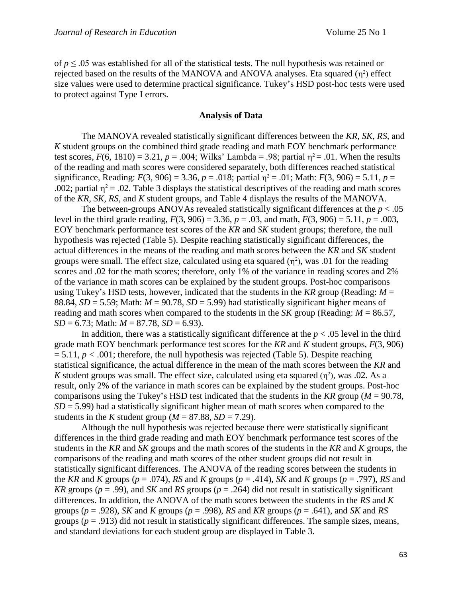of  $p \le 0.05$  was established for all of the statistical tests. The null hypothesis was retained or rejected based on the results of the MANOVA and ANOVA analyses. Eta squared  $(\eta^2)$  effect size values were used to determine practical significance. Tukey's HSD post-hoc tests were used to protect against Type I errors.

#### **Analysis of Data**

The MANOVA revealed statistically significant differences between the *KR, SK, RS,* and *K* student groups on the combined third grade reading and math EOY benchmark performance test scores,  $F(6, 1810) = 3.21$ ,  $p = .004$ ; Wilks' Lambda = .98; partial  $\eta^2 = .01$ . When the results of the reading and math scores were considered separately, both differences reached statistical significance, Reading:  $F(3, 906) = 3.36$ ,  $p = .018$ ; partial  $\eta^2 = .01$ ; Math:  $F(3, 906) = 5.11$ ,  $p =$ .002; partial  $\eta^2$  = .02. Table 3 displays the statistical descriptives of the reading and math scores of the *KR, SK, RS*, and *K* student groups, and Table 4 displays the results of the MANOVA.

The between-groups ANOVAs revealed statistically significant differences at the  $p < .05$ level in the third grade reading, *F*(3, 906) = 3.36, *p* = .03, and math, *F*(3, 906) = 5.11, *p* = .003, EOY benchmark performance test scores of the *KR* and *SK* student groups; therefore, the null hypothesis was rejected (Table 5). Despite reaching statistically significant differences, the actual differences in the means of the reading and math scores between the *KR* and *SK* student groups were small. The effect size, calculated using eta squared  $(\eta^2)$ , was 0.01 for the reading scores and .02 for the math scores; therefore, only 1% of the variance in reading scores and 2% of the variance in math scores can be explained by the student groups. Post-hoc comparisons using Tukey's HSD tests, however, indicated that the students in the *KR* group (Reading: *M* = 88.84,  $SD = 5.59$ ; Math:  $M = 90.78$ ,  $SD = 5.99$ ) had statistically significant higher means of reading and math scores when compared to the students in the *SK* group (Reading:  $M = 86.57$ , *SD* = 6.73; Math: *M* = 87.78, *SD* = 6.93).

In addition, there was a statistically significant difference at the  $p < .05$  level in the third grade math EOY benchmark performance test scores for the *KR* and *K* student groups, *F*(3, 906)  $= 5.11, p < .001$ ; therefore, the null hypothesis was rejected (Table 5). Despite reaching statistical significance, the actual difference in the mean of the math scores between the *KR* and K student groups was small. The effect size, calculated using eta squared  $(\eta^2)$ , was .02. As a result, only 2% of the variance in math scores can be explained by the student groups. Post-hoc comparisons using the Tukey's HSD test indicated that the students in the  $KR$  group ( $M = 90.78$ ,  $SD = 5.99$ ) had a statistically significant higher mean of math scores when compared to the students in the *K* student group ( $M = 87.88$ ,  $SD = 7.29$ ).

Although the null hypothesis was rejected because there were statistically significant differences in the third grade reading and math EOY benchmark performance test scores of the students in the *KR* and *SK* groups and the math scores of the students in the *KR* and *K* groups, the comparisons of the reading and math scores of the other student groups did not result in statistically significant differences. The ANOVA of the reading scores between the students in the *KR* and *K* groups ( $p = .074$ ), *RS* and *K* groups ( $p = .414$ ), *SK* and *K* groups ( $p = .797$ ), *RS* and *KR* groups ( $p = .99$ ), and *SK* and *RS* groups ( $p = .264$ ) did not result in statistically significant differences. In addition, the ANOVA of the math scores between the students in the *RS* and *K*  groups ( $p = .928$ ), *SK* and *K* groups ( $p = .998$ ), *RS* and *KR* groups ( $p = .641$ ), and *SK* and *RS* groups  $(p = .913)$  did not result in statistically significant differences. The sample sizes, means, and standard deviations for each student group are displayed in Table 3.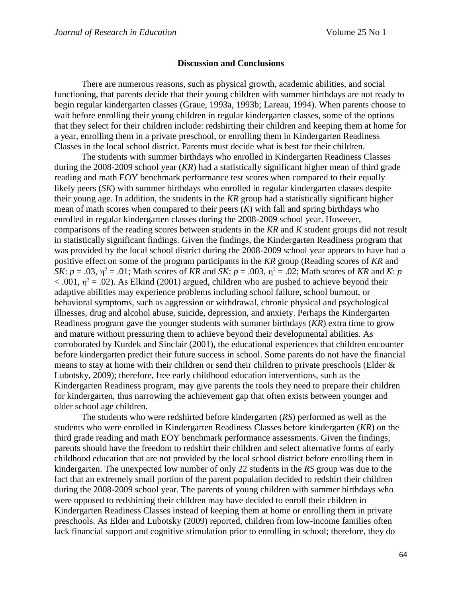## **Discussion and Conclusions**

There are numerous reasons, such as physical growth, academic abilities, and social functioning, that parents decide that their young children with summer birthdays are not ready to begin regular kindergarten classes (Graue, 1993a, 1993b; Lareau, 1994). When parents choose to wait before enrolling their young children in regular kindergarten classes, some of the options that they select for their children include: redshirting their children and keeping them at home for a year, enrolling them in a private preschool, or enrolling them in Kindergarten Readiness Classes in the local school district. Parents must decide what is best for their children.

The students with summer birthdays who enrolled in Kindergarten Readiness Classes during the 2008-2009 school year (*KR*) had a statistically significant higher mean of third grade reading and math EOY benchmark performance test scores when compared to their equally likely peers (*SK*) with summer birthdays who enrolled in regular kindergarten classes despite their young age. In addition, the students in the *KR* group had a statistically significant higher mean of math scores when compared to their peers (*K*) with fall and spring birthdays who enrolled in regular kindergarten classes during the 2008-2009 school year. However, comparisons of the reading scores between students in the *KR* and *K* student groups did not result in statistically significant findings. Given the findings, the Kindergarten Readiness program that was provided by the local school district during the 2008-2009 school year appears to have had a positive effect on some of the program participants in the *KR* group (Reading scores of *KR* and *SK*:  $p = .03$ ,  $\eta^2 = .01$ ; Math scores of *KR* and *SK*:  $p = .003$ ,  $\eta^2 = .02$ ; Math scores of *KR* and *K*:  $p$  $< .001$ ,  $\eta^2 = .02$ ). As Elkind (2001) argued, children who are pushed to achieve beyond their adaptive abilities may experience problems including school failure, school burnout, or behavioral symptoms, such as aggression or withdrawal, chronic physical and psychological illnesses, drug and alcohol abuse, suicide, depression, and anxiety. Perhaps the Kindergarten Readiness program gave the younger students with summer birthdays (*KR*) extra time to grow and mature without pressuring them to achieve beyond their developmental abilities. As corroborated by Kurdek and Sinclair (2001), the educational experiences that children encounter before kindergarten predict their future success in school. Some parents do not have the financial means to stay at home with their children or send their children to private preschools (Elder & Lubotsky, 2009); therefore, free early childhood education interventions, such as the Kindergarten Readiness program, may give parents the tools they need to prepare their children for kindergarten, thus narrowing the achievement gap that often exists between younger and older school age children.

The students who were redshirted before kindergarten (*RS*) performed as well as the students who were enrolled in Kindergarten Readiness Classes before kindergarten (*KR*) on the third grade reading and math EOY benchmark performance assessments. Given the findings, parents should have the freedom to redshirt their children and select alternative forms of early childhood education that are not provided by the local school district before enrolling them in kindergarten. The unexpected low number of only 22 students in the *RS* group was due to the fact that an extremely small portion of the parent population decided to redshirt their children during the 2008-2009 school year. The parents of young children with summer birthdays who were opposed to redshirting their children may have decided to enroll their children in Kindergarten Readiness Classes instead of keeping them at home or enrolling them in private preschools. As Elder and Lubotsky (2009) reported, children from low-income families often lack financial support and cognitive stimulation prior to enrolling in school; therefore, they do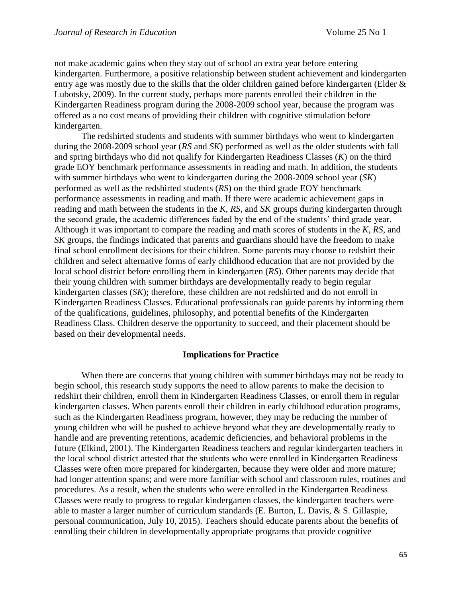not make academic gains when they stay out of school an extra year before entering kindergarten. Furthermore, a positive relationship between student achievement and kindergarten entry age was mostly due to the skills that the older children gained before kindergarten (Elder & Lubotsky, 2009). In the current study, perhaps more parents enrolled their children in the Kindergarten Readiness program during the 2008-2009 school year, because the program was offered as a no cost means of providing their children with cognitive stimulation before kindergarten.

The redshirted students and students with summer birthdays who went to kindergarten during the 2008-2009 school year (*RS* and *SK*) performed as well as the older students with fall and spring birthdays who did not qualify for Kindergarten Readiness Classes (*K*) on the third grade EOY benchmark performance assessments in reading and math. In addition, the students with summer birthdays who went to kindergarten during the 2008-2009 school year (*SK*) performed as well as the redshirted students (*RS*) on the third grade EOY benchmark performance assessments in reading and math. If there were academic achievement gaps in reading and math between the students in the *K*, *RS*, and *SK* groups during kindergarten through the second grade, the academic differences faded by the end of the students' third grade year. Although it was important to compare the reading and math scores of students in the *K*, *RS*, and *SK* groups, the findings indicated that parents and guardians should have the freedom to make final school enrollment decisions for their children. Some parents may choose to redshirt their children and select alternative forms of early childhood education that are not provided by the local school district before enrolling them in kindergarten (*RS*). Other parents may decide that their young children with summer birthdays are developmentally ready to begin regular kindergarten classes (*SK*); therefore, these children are not redshirted and do not enroll in Kindergarten Readiness Classes. Educational professionals can guide parents by informing them of the qualifications, guidelines, philosophy, and potential benefits of the Kindergarten Readiness Class. Children deserve the opportunity to succeed, and their placement should be based on their developmental needs.

#### **Implications for Practice**

When there are concerns that young children with summer birthdays may not be ready to begin school, this research study supports the need to allow parents to make the decision to redshirt their children, enroll them in Kindergarten Readiness Classes, or enroll them in regular kindergarten classes. When parents enroll their children in early childhood education programs, such as the Kindergarten Readiness program, however, they may be reducing the number of young children who will be pushed to achieve beyond what they are developmentally ready to handle and are preventing retentions, academic deficiencies, and behavioral problems in the future (Elkind, 2001). The Kindergarten Readiness teachers and regular kindergarten teachers in the local school district attested that the students who were enrolled in Kindergarten Readiness Classes were often more prepared for kindergarten, because they were older and more mature; had longer attention spans; and were more familiar with school and classroom rules, routines and procedures. As a result, when the students who were enrolled in the Kindergarten Readiness Classes were ready to progress to regular kindergarten classes, the kindergarten teachers were able to master a larger number of curriculum standards (E. Burton, L. Davis, & S. Gillaspie, personal communication, July 10, 2015). Teachers should educate parents about the benefits of enrolling their children in developmentally appropriate programs that provide cognitive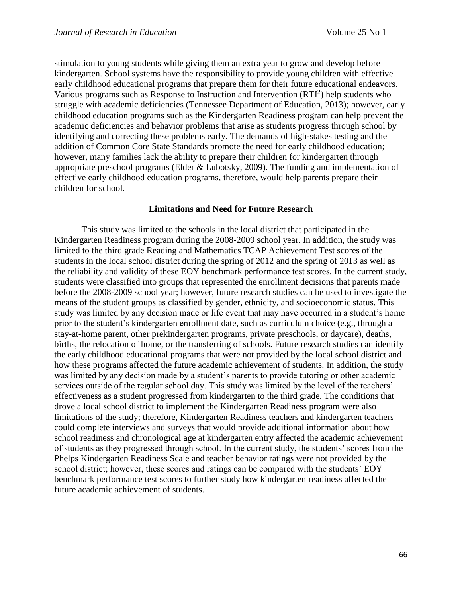stimulation to young students while giving them an extra year to grow and develop before kindergarten. School systems have the responsibility to provide young children with effective early childhood educational programs that prepare them for their future educational endeavors. Various programs such as Response to Instruction and Intervention  $(RTI<sup>2</sup>)$  help students who struggle with academic deficiencies (Tennessee Department of Education, 2013); however, early childhood education programs such as the Kindergarten Readiness program can help prevent the academic deficiencies and behavior problems that arise as students progress through school by identifying and correcting these problems early. The demands of high-stakes testing and the addition of Common Core State Standards promote the need for early childhood education; however, many families lack the ability to prepare their children for kindergarten through appropriate preschool programs (Elder & Lubotsky, 2009). The funding and implementation of effective early childhood education programs, therefore, would help parents prepare their children for school.

## **Limitations and Need for Future Research**

This study was limited to the schools in the local district that participated in the Kindergarten Readiness program during the 2008-2009 school year. In addition, the study was limited to the third grade Reading and Mathematics TCAP Achievement Test scores of the students in the local school district during the spring of 2012 and the spring of 2013 as well as the reliability and validity of these EOY benchmark performance test scores. In the current study, students were classified into groups that represented the enrollment decisions that parents made before the 2008-2009 school year; however, future research studies can be used to investigate the means of the student groups as classified by gender, ethnicity, and socioeconomic status. This study was limited by any decision made or life event that may have occurred in a student's home prior to the student's kindergarten enrollment date, such as curriculum choice (e.g., through a stay-at-home parent, other prekindergarten programs, private preschools, or daycare), deaths, births, the relocation of home, or the transferring of schools. Future research studies can identify the early childhood educational programs that were not provided by the local school district and how these programs affected the future academic achievement of students. In addition, the study was limited by any decision made by a student's parents to provide tutoring or other academic services outside of the regular school day. This study was limited by the level of the teachers' effectiveness as a student progressed from kindergarten to the third grade. The conditions that drove a local school district to implement the Kindergarten Readiness program were also limitations of the study; therefore, Kindergarten Readiness teachers and kindergarten teachers could complete interviews and surveys that would provide additional information about how school readiness and chronological age at kindergarten entry affected the academic achievement of students as they progressed through school. In the current study, the students' scores from the Phelps Kindergarten Readiness Scale and teacher behavior ratings were not provided by the school district; however, these scores and ratings can be compared with the students' EOY benchmark performance test scores to further study how kindergarten readiness affected the future academic achievement of students.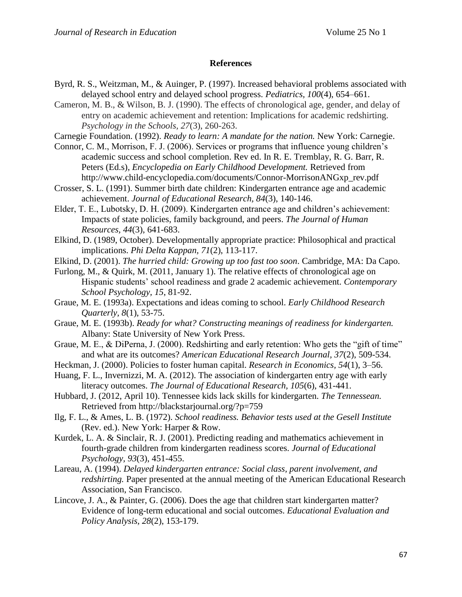## **References**

- Byrd, R. S., Weitzman, M., & Auinger, P. (1997). Increased behavioral problems associated with delayed school entry and delayed school progress. *Pediatrics, 100*(4), 654–661.
- Cameron, M. B., & Wilson, B. J. (1990). The effects of chronological age, gender, and delay of entry on academic achievement and retention: Implications for academic redshirting. *Psychology in the Schools, 27*(3), 260-263.
- Carnegie Foundation. (1992). *Ready to learn: A mandate for the nation.* New York: Carnegie.
- Connor, C. M., Morrison, F. J. (2006). Services or programs that influence young children's academic success and school completion. Rev ed. In R. E. Tremblay, R. G. Barr, R. Peters (Ed.s), *Encyclopedia on Early Childhood Development.* Retrieved from http://www.child-encyclopedia.com/documents/Connor-MorrisonANGxp\_rev.pdf
- Crosser, S. L. (1991). Summer birth date children: Kindergarten entrance age and academic achievement. *Journal of Educational Research, 84*(3), 140-146.
- Elder, T. E., Lubotsky, D. H. (2009). Kindergarten entrance age and children's achievement: Impacts of state policies, family background, and peers. *The Journal of Human Resources, 44*(3), 641-683.
- Elkind, D. (1989, October). Developmentally appropriate practice: Philosophical and practical implications. *Phi Delta Kappan, 71*(2), 113-117.
- Elkind, D. (2001). *The hurried child: Growing up too fast too soon*. Cambridge, MA: Da Capo.
- Furlong, M., & Quirk, M. (2011, January 1). The relative effects of chronological age on Hispanic students' school readiness and grade 2 academic achievement. *Contemporary School Psychology, 15*, 81-92.
- Graue, M. E. (1993a). Expectations and ideas coming to school. *Early Childhood Research Quarterly, 8*(1), 53-75.
- Graue, M. E. (1993b). *Ready for what? Constructing meanings of readiness for kindergarten.*  Albany: State University of New York Press.
- Graue, M. E., & DiPerna, J. (2000). Redshirting and early retention: Who gets the "gift of time" and what are its outcomes? *American Educational Research Journal, 37*(2), 509-534.
- Heckman, J. (2000). Policies to foster human capital. *Research in Economics, 54*(1), 3–56.
- Huang, F. L., Invernizzi, M. A. (2012). The association of kindergarten entry age with early literacy outcomes. *The Journal of Educational Research, 105*(6), 431-441.
- Hubbard, J. (2012, April 10). Tennessee kids lack skills for kindergarten. *The Tennessean.* Retrieved from<http://blackstarjournal.org/?p=759>
- Ilg, F. L., & Ames, L. B. (1972). *School readiness. Behavior tests used at the Gesell Institute*  (Rev. ed.). New York: Harper & Row.
- Kurdek, L. A. & Sinclair, R. J. (2001). Predicting reading and mathematics achievement in fourth-grade children from kindergarten readiness scores. *Journal of Educational Psychology, 93*(3), 451-455.
- Lareau, A. (1994). *Delayed kindergarten entrance: Social class, parent involvement, and redshirting.* Paper presented at the annual meeting of the American Educational Research Association, San Francisco.
- Lincove, J. A., & Painter, G. (2006). Does the age that children start kindergarten matter? Evidence of long-term educational and social outcomes. *Educational Evaluation and Policy Analysis, 28*(2), 153-179.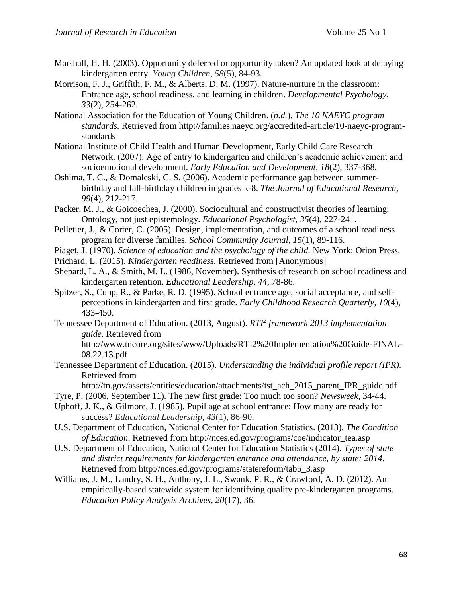- Marshall, H. H. (2003). Opportunity deferred or opportunity taken? An updated look at delaying kindergarten entry. *Young Children*, *58*(5), 84-93.
- Morrison, F. J., Griffith, F. M., & Alberts, D. M. (1997). Nature-nurture in the classroom: Entrance age, school readiness, and learning in children. *Developmental Psychology, 33*(2), 254-262.
- National Association for the Education of Young Children. (*n.d.*). *The 10 NAEYC program standards.* Retrieved from [http://families.naeyc.org/accredited-article/10-naeyc-program](http://families.naeyc.org/accredited-article/10-naeyc-program-standards)[standards](http://families.naeyc.org/accredited-article/10-naeyc-program-standards)
- National Institute of Child Health and Human Development, Early Child Care Research Network. (2007). Age of entry to kindergarten and children's academic achievement and socioemotional development. *Early Education and Development, 18*(2), 337-368.
- Oshima, T. C., & Domaleski, C. S. (2006). Academic performance gap between summerbirthday and fall-birthday children in grades k-8. *The Journal of Educational Research, 99*(4), 212-217.
- Packer, M. J., & Goicoechea, J. (2000). Sociocultural and constructivist theories of learning: Ontology, not just epistemology. *Educational Psychologist, 35*(4), 227-241.
- Pelletier, J., & Corter, C. (2005). Design, implementation, and outcomes of a school readiness program for diverse families. *School Community Journal, 15*(1), 89-116.
- Piaget, J. (1970). *Science of education and the psychology of the child.* New York: Orion Press.
- Prichard, L. (2015). *Kindergarten readiness.* Retrieved from [Anonymous]
- Shepard, L. A., & Smith, M. L. (1986, November). Synthesis of research on school readiness and kindergarten retention. *Educational Leadership, 44*, 78-86.
- Spitzer, S., Cupp, R., & Parke, R. D. (1995). School entrance age, social acceptance, and selfperceptions in kindergarten and first grade. *Early Childhood Research Quarterly, 10*(4), 433-450.
- Tennessee Department of Education. (2013, August). *RTI<sup>2</sup> framework 2013 implementation guide.* Retrieved from

[http://www.tncore.org/sites/www/Uploads/RTI2%20Implementation%20Guide-FINAL-](http://www.tncore.org/sites/www/Uploads/RTI2%20Implementation%20Guide-FINAL-08.22.13.pdf)[08.22.13.pdf](http://www.tncore.org/sites/www/Uploads/RTI2%20Implementation%20Guide-FINAL-08.22.13.pdf)

Tennessee Department of Education. (2015). *Understanding the individual profile report (IPR).* Retrieved from

http://tn.gov/assets/entities/education/attachments/tst\_ach\_2015\_parent\_IPR\_guide.pdf

- Tyre, P. (2006, September 11). The new first grade: Too much too soon? *Newsweek,* 34-44.
- Uphoff, J. K., & Gilmore, J. (1985). Pupil age at school entrance: How many are ready for success? *Educational Leadership*, *43*(1), 86-90.
- U.S. Department of Education, National Center for Education Statistics. (2013). *The Condition of Education*. Retrieved from http://nces.ed.gov/programs/coe/indicator\_tea.asp
- [U.S. Department of Education,](http://www.ed.gov/) [National Center for Education Statistics](http://nces.ed.gov/) (2014). *Types of state and district requirements for kindergarten entrance and attendance, by state: 2014.* Retrieved from http://nces.ed.gov/programs/statereform/tab5\_3.asp
- Williams, J. M., Landry, S. H., Anthony, J. L., Swank, P. R., & Crawford, A. D. (2012). An empirically-based statewide system for identifying quality pre-kindergarten programs. *Education Policy Analysis Archives, 20*(17), 36.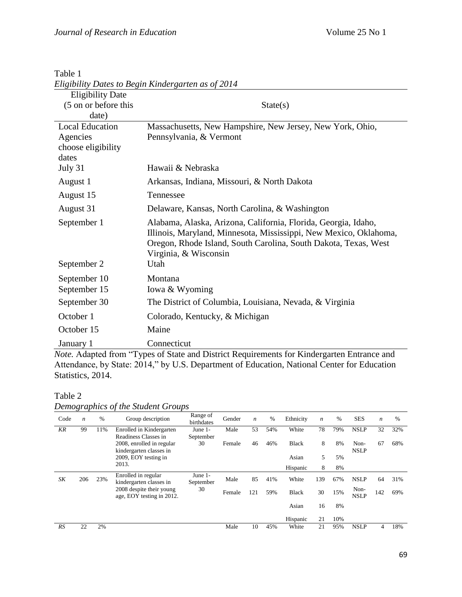| Eligibility Dates to Begin Kindergarten as of 2014 |                                                                                                                                                                                                                                 |  |  |  |  |  |  |  |
|----------------------------------------------------|---------------------------------------------------------------------------------------------------------------------------------------------------------------------------------------------------------------------------------|--|--|--|--|--|--|--|
| <b>Eligibility Date</b>                            |                                                                                                                                                                                                                                 |  |  |  |  |  |  |  |
| (5 on or before this                               | State(s)                                                                                                                                                                                                                        |  |  |  |  |  |  |  |
| date)                                              |                                                                                                                                                                                                                                 |  |  |  |  |  |  |  |
| <b>Local Education</b>                             | Massachusetts, New Hampshire, New Jersey, New York, Ohio,                                                                                                                                                                       |  |  |  |  |  |  |  |
| Agencies                                           | Pennsylvania, & Vermont                                                                                                                                                                                                         |  |  |  |  |  |  |  |
| choose eligibility                                 |                                                                                                                                                                                                                                 |  |  |  |  |  |  |  |
| dates                                              |                                                                                                                                                                                                                                 |  |  |  |  |  |  |  |
| July 31                                            | Hawaii & Nebraska                                                                                                                                                                                                               |  |  |  |  |  |  |  |
| August 1                                           | Arkansas, Indiana, Missouri, & North Dakota                                                                                                                                                                                     |  |  |  |  |  |  |  |
| August 15                                          | Tennessee                                                                                                                                                                                                                       |  |  |  |  |  |  |  |
| August 31                                          | Delaware, Kansas, North Carolina, & Washington                                                                                                                                                                                  |  |  |  |  |  |  |  |
| September 1                                        | Alabama, Alaska, Arizona, California, Florida, Georgia, Idaho,<br>Illinois, Maryland, Minnesota, Mississippi, New Mexico, Oklahoma,<br>Oregon, Rhode Island, South Carolina, South Dakota, Texas, West<br>Virginia, & Wisconsin |  |  |  |  |  |  |  |
| September 2                                        | Utah                                                                                                                                                                                                                            |  |  |  |  |  |  |  |
| September 10                                       | Montana                                                                                                                                                                                                                         |  |  |  |  |  |  |  |
| September 15                                       | Iowa & Wyoming                                                                                                                                                                                                                  |  |  |  |  |  |  |  |
| September 30                                       | The District of Columbia, Louisiana, Nevada, & Virginia                                                                                                                                                                         |  |  |  |  |  |  |  |
| October 1                                          | Colorado, Kentucky, & Michigan                                                                                                                                                                                                  |  |  |  |  |  |  |  |
| October 15                                         | Maine                                                                                                                                                                                                                           |  |  |  |  |  |  |  |
| January 1                                          | Connecticut                                                                                                                                                                                                                     |  |  |  |  |  |  |  |

# Table 1

*Note.* Adapted from "Types of State and District Requirements for Kindergarten Entrance and Attendance, by State: 2014," by [U.S. Department of Education,](http://www.ed.gov/) [National Center for Education](http://nces.ed.gov/)  [Statistics,](http://nces.ed.gov/) 2014.

## Table 2

| Demographics of the Student Groups |  |  |
|------------------------------------|--|--|
|                                    |  |  |

| Code      | $\boldsymbol{n}$ | $\%$ | Group description                                     | Range of<br>birthdates | Gender | $\boldsymbol{n}$ | %   | Ethnicity    | $\boldsymbol{n}$ | %   | <b>SES</b>  | $\boldsymbol{n}$ | %   |        |     |     |              |    |     |                     |     |     |
|-----------|------------------|------|-------------------------------------------------------|------------------------|--------|------------------|-----|--------------|------------------|-----|-------------|------------------|-----|--------|-----|-----|--------------|----|-----|---------------------|-----|-----|
| KR        | 99               | 11%  | Enrolled in Kindergarten                              | June 1-                | Male   | 53               | 54% | White        | 78               | 79% | <b>NSLP</b> | 32               | 32% |        |     |     |              |    |     |                     |     |     |
|           |                  |      | Readiness Classes in                                  | September              |        |                  |     |              |                  |     |             |                  |     |        |     |     |              |    |     |                     |     |     |
|           |                  |      | 2008, enrolled in regular                             | 30                     | Female | 46               | 46% | <b>Black</b> | 8                | 8%  | Non-        | 67               | 68% |        |     |     |              |    |     |                     |     |     |
|           |                  |      | kindergarten classes in                               |                        |        |                  |     |              |                  |     | <b>NSLP</b> |                  |     |        |     |     |              |    |     |                     |     |     |
|           |                  |      | 2009, EOY testing in                                  |                        |        |                  |     | Asian        | 5                | 5%  |             |                  |     |        |     |     |              |    |     |                     |     |     |
|           |                  |      | 2013.                                                 |                        |        |                  |     | Hispanic     | 8                | 8%  |             |                  |     |        |     |     |              |    |     |                     |     |     |
| SK        | 206              | 23%  | Enrolled in regular<br>kindergarten classes in        | June 1-<br>September   | Male   | 85               | 41% | White        | 139              | 67% | <b>NSLP</b> | 64               | 31% |        |     |     |              |    |     |                     |     |     |
|           |                  |      | 2008 despite their young<br>age, EOY testing in 2012. | 30                     |        |                  |     |              |                  |     |             |                  |     | Female | 121 | 59% | <b>Black</b> | 30 | 15% | Non-<br><b>NSLP</b> | 142 | 69% |
|           |                  |      |                                                       |                        |        |                  |     | Asian        | 16               | 8%  |             |                  |     |        |     |     |              |    |     |                     |     |     |
|           |                  |      |                                                       |                        |        |                  |     | Hispanic     | 21               | 10% |             |                  |     |        |     |     |              |    |     |                     |     |     |
| <b>RS</b> | 22               | 2%   |                                                       |                        | Male   | 10               | 45% | White        | 21               | 95% | <b>NSLP</b> | 4                | 18% |        |     |     |              |    |     |                     |     |     |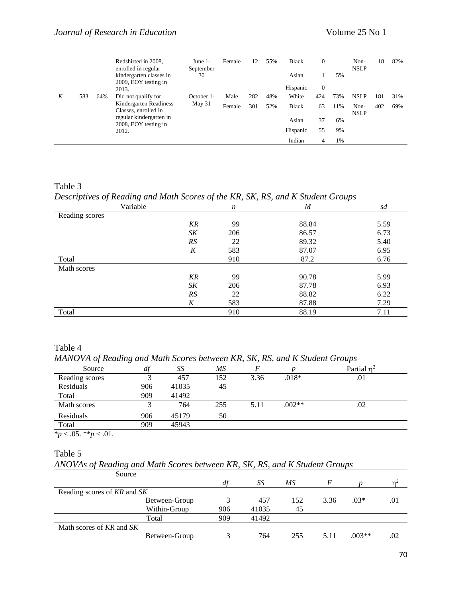|   |     |                                                 | Redshirted in 2008,<br>enrolled in regular | June 1-<br>September | Female | 12  | 55%          | <b>Black</b> | 0              |                     | Non-<br><b>NSLP</b> | 18  | 82% |
|---|-----|-------------------------------------------------|--------------------------------------------|----------------------|--------|-----|--------------|--------------|----------------|---------------------|---------------------|-----|-----|
|   |     |                                                 | kindergarten classes in                    | 30                   |        |     |              | Asian        |                | 5%                  |                     |     |     |
|   |     |                                                 | 2009, EOY testing in<br>2013.              |                      |        |     |              | Hispanic     | $\overline{0}$ |                     |                     |     |     |
| K | 583 | 64%                                             | Did not qualify for                        | October 1-           | Male   | 282 | 48%          | White        | 424            | 73%                 | <b>NSLP</b>         | 181 | 31% |
|   |     | Kindergarten Readiness<br>Classes, enrolled in  | May 31                                     | Female               | 301    | 52% | <b>Black</b> | 63           | 11%            | Non-<br><b>NSLP</b> | 402                 | 69% |     |
|   |     | regular kindergarten in<br>2008, EOY testing in |                                            |                      |        |     |              | Asian        | 37             | 6%                  |                     |     |     |
|   |     |                                                 | 2012.                                      |                      |        |     |              | Hispanic     | 55             | 9%                  |                     |     |     |
|   |     |                                                 |                                            |                      |        |     |              | Indian       | 4              | 1%                  |                     |     |     |

#### Table 3

*Descriptives of Reading and Math Scores of the KR, SK, RS, and K Student Groups*

| Variable       |           | $\boldsymbol{n}$ | $\overline{M}$ | sd   |
|----------------|-----------|------------------|----------------|------|
| Reading scores |           |                  |                |      |
|                | KR        | 99               | 88.84          | 5.59 |
|                | S K       | 206              | 86.57          | 6.73 |
|                | <b>RS</b> | 22               | 89.32          | 5.40 |
|                | K         | 583              | 87.07          | 6.95 |
| Total          |           | 910              | 87.2           | 6.76 |
| Math scores    |           |                  |                |      |
|                | KR        | 99               | 90.78          | 5.99 |
|                | SK        | 206              | 87.78          | 6.93 |
|                | RS        | 22               | 88.82          | 6.22 |
|                | K         | 583              | 87.88          | 7.29 |
| Total          |           | 910              | 88.19          | 7.11 |

#### Table 4

*MANOVA of Reading and Math Scores between KR, SK, RS, and K Student Groups*

|                | $\cdot$ |       |     |      |          |                  |
|----------------|---------|-------|-----|------|----------|------------------|
| Source         | $\mu$   | SS    | МS  |      |          | Partial $\eta^2$ |
| Reading scores |         | 457   | 52  | 3.36 | $.018*$  | .01              |
| Residuals      | 906     | 41035 | 45  |      |          |                  |
| Total          | 909     | 41492 |     |      |          |                  |
| Math scores    |         | 764   | 255 | 5.11 | $.002**$ | .02              |
| Residuals      | 906     | 45179 | 50  |      |          |                  |
| Total          | 909     | 45943 |     |      |          |                  |
|                |         |       |     |      |          |                  |

\**p* < .05. \*\**p* < .01.

## Table 5

*ANOVAs of Reading and Math Scores between KR, SK, RS, and K Student Groups*

| Source                      |               |     |       |     |                         |        |     |
|-----------------------------|---------------|-----|-------|-----|-------------------------|--------|-----|
|                             |               | df  | SS    | МS  | F                       |        |     |
| Reading scores of KR and SK |               |     |       |     |                         |        |     |
|                             | Between-Group |     | 457   | 152 | 3.36                    | $.03*$ | .01 |
|                             | Within-Group  | 906 | 41035 | 45  | $.003**$<br>255<br>5.11 |        |     |
|                             | Total         | 909 | 41492 |     |                         |        |     |
| Math scores of KR and SK    |               |     |       |     |                         |        |     |
|                             | Between-Group |     | 764   |     |                         |        | .02 |